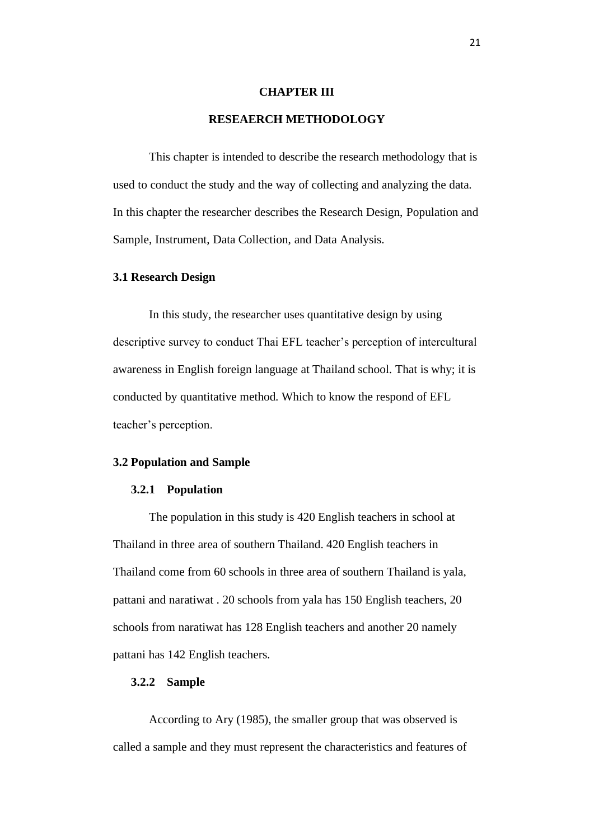### **CHAPTER III**

# **RESEAERCH METHODOLOGY**

This chapter is intended to describe the research methodology that is used to conduct the study and the way of collecting and analyzing the data. In this chapter the researcher describes the Research Design, Population and Sample, Instrument, Data Collection, and Data Analysis.

## **3.1 Research Design**

In this study, the researcher uses quantitative design by using descriptive survey to conduct Thai EFL teacher's perception of intercultural awareness in English foreign language at Thailand school. That is why; it is conducted by quantitative method. Which to know the respond of EFL teacher's perception.

#### **3.2 Population and Sample**

#### **3.2.1 Population**

The population in this study is 420 English teachers in school at Thailand in three area of southern Thailand. 420 English teachers in Thailand come from 60 schools in three area of southern Thailand is yala, pattani and naratiwat . 20 schools from yala has 150 English teachers, 20 schools from naratiwat has 128 English teachers and another 20 namely pattani has 142 English teachers.

## **3.2.2 Sample**

According to Ary (1985), the smaller group that was observed is called a sample and they must represent the characteristics and features of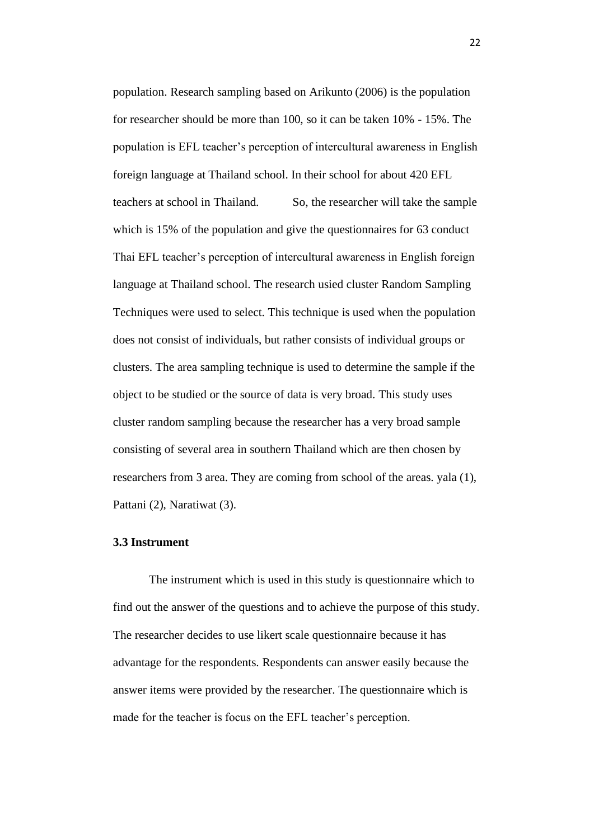population. Research sampling based on Arikunto (2006) is the population for researcher should be more than 100, so it can be taken 10% - 15%. The population is EFL teacher's perception of intercultural awareness in English foreign language at Thailand school. In their school for about 420 EFL teachers at school in Thailand. So, the researcher will take the sample which is 15% of the population and give the questionnaires for 63 conduct Thai EFL teacher's perception of intercultural awareness in English foreign language at Thailand school. The research usied cluster Random Sampling Techniques were used to select. This technique is used when the population does not consist of individuals, but rather consists of individual groups or clusters. The area sampling technique is used to determine the sample if the object to be studied or the source of data is very broad. This study uses cluster random sampling because the researcher has a very broad sample consisting of several area in southern Thailand which are then chosen by researchers from 3 area. They are coming from school of the areas. yala (1), Pattani (2), Naratiwat (3).

## **3.3 Instrument**

The instrument which is used in this study is questionnaire which to find out the answer of the questions and to achieve the purpose of this study. The researcher decides to use likert scale questionnaire because it has advantage for the respondents. Respondents can answer easily because the answer items were provided by the researcher. The questionnaire which is made for the teacher is focus on the EFL teacher's perception.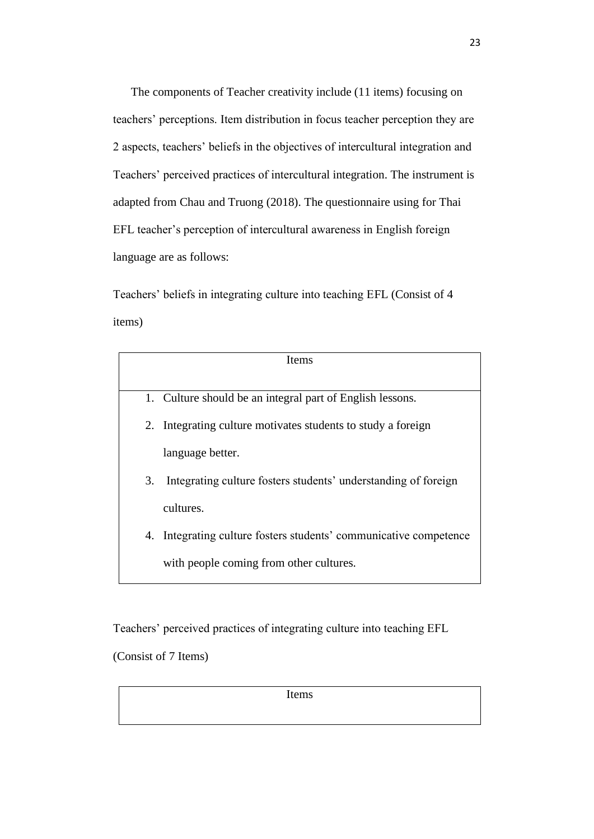The components of Teacher creativity include (11 items) focusing on teachers' perceptions. Item distribution in focus teacher perception they are 2 aspects, teachers' beliefs in the objectives of intercultural integration and Teachers' perceived practices of intercultural integration. The instrument is adapted from Chau and Truong (2018). The questionnaire using for Thai EFL teacher's perception of intercultural awareness in English foreign language are as follows:

Teachers' beliefs in integrating culture into teaching EFL (Consist of 4 items)

| <b>Items</b> |                                                                   |  |  |  |  |  |  |
|--------------|-------------------------------------------------------------------|--|--|--|--|--|--|
|              |                                                                   |  |  |  |  |  |  |
|              | 1. Culture should be an integral part of English lessons.         |  |  |  |  |  |  |
|              | 2. Integrating culture motivates students to study a foreign      |  |  |  |  |  |  |
|              | language better.                                                  |  |  |  |  |  |  |
| 3.           | Integrating culture fosters students' understanding of foreign    |  |  |  |  |  |  |
|              | cultures.                                                         |  |  |  |  |  |  |
|              | 4. Integrating culture fosters students' communicative competence |  |  |  |  |  |  |
|              | with people coming from other cultures.                           |  |  |  |  |  |  |

Teachers' perceived practices of integrating culture into teaching EFL

(Consist of 7 Items)

Items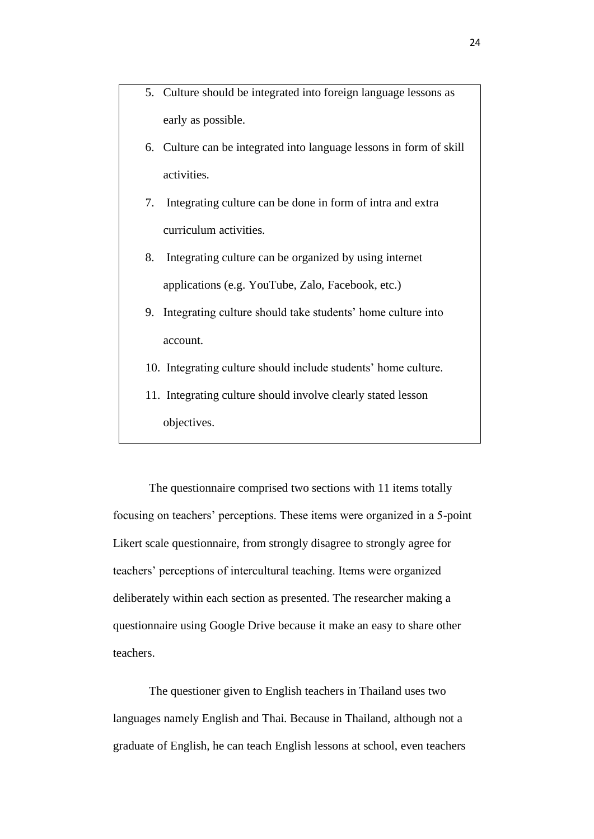- 5. Culture should be integrated into foreign language lessons as early as possible.
- 6. Culture can be integrated into language lessons in form of skill activities.
- 7. Integrating culture can be done in form of intra and extra curriculum activities.
- 8. Integrating culture can be organized by using internet applications (e.g. YouTube, Zalo, Facebook, etc.)
- 9. Integrating culture should take students' home culture into account.
- 10. Integrating culture should include students' home culture.
- 11. Integrating culture should involve clearly stated lesson objectives.

The questionnaire comprised two sections with 11 items totally focusing on teachers' perceptions. These items were organized in a 5-point Likert scale questionnaire, from strongly disagree to strongly agree for teachers' perceptions of intercultural teaching. Items were organized deliberately within each section as presented. The researcher making a questionnaire using Google Drive because it make an easy to share other teachers.

The questioner given to English teachers in Thailand uses two languages namely English and Thai. Because in Thailand, although not a graduate of English, he can teach English lessons at school, even teachers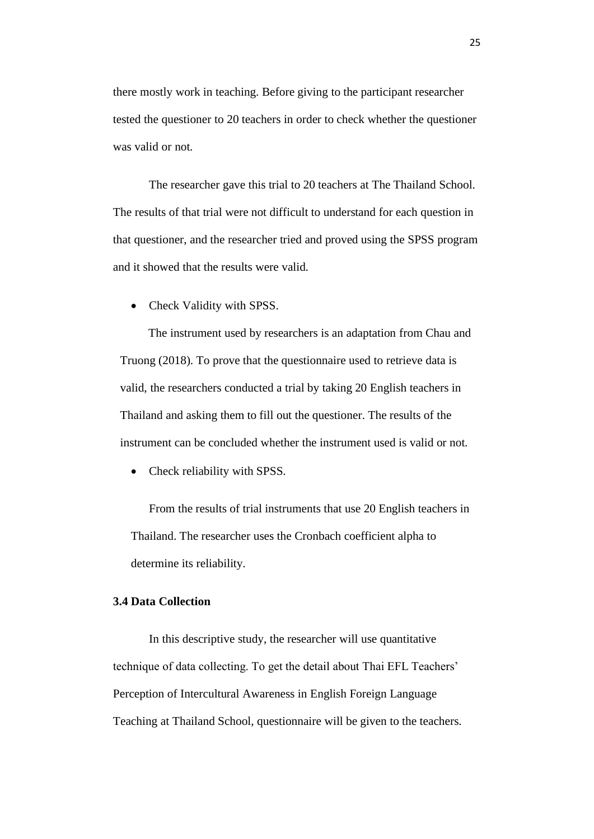there mostly work in teaching. Before giving to the participant researcher tested the questioner to 20 teachers in order to check whether the questioner was valid or not.

The researcher gave this trial to 20 teachers at The Thailand School. The results of that trial were not difficult to understand for each question in that questioner, and the researcher tried and proved using the SPSS program and it showed that the results were valid.

• Check Validity with SPSS.

The instrument used by researchers is an adaptation from Chau and Truong (2018). To prove that the questionnaire used to retrieve data is valid, the researchers conducted a trial by taking 20 English teachers in Thailand and asking them to fill out the questioner. The results of the instrument can be concluded whether the instrument used is valid or not.

• Check reliability with SPSS.

From the results of trial instruments that use 20 English teachers in Thailand. The researcher uses the Cronbach coefficient alpha to determine its reliability.

## **3.4 Data Collection**

In this descriptive study, the researcher will use quantitative technique of data collecting. To get the detail about Thai EFL Teachers' Perception of Intercultural Awareness in English Foreign Language Teaching at Thailand School, questionnaire will be given to the teachers.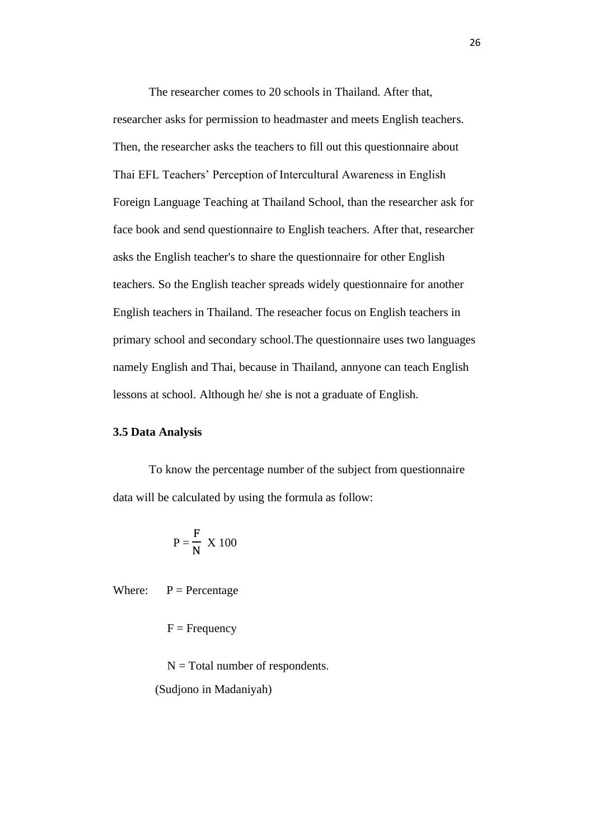The researcher comes to 20 schools in Thailand. After that, researcher asks for permission to headmaster and meets English teachers. Then, the researcher asks the teachers to fill out this questionnaire about Thai EFL Teachers' Perception of Intercultural Awareness in English Foreign Language Teaching at Thailand School, than the researcher ask for face book and send questionnaire to English teachers. After that, researcher asks the English teacher's to share the questionnaire for other English teachers. So the English teacher spreads widely questionnaire for another English teachers in Thailand. The reseacher focus on English teachers in primary school and secondary school.The questionnaire uses two languages namely English and Thai, because in Thailand, annyone can teach English lessons at school. Although he/ she is not a graduate of English.

# **3.5 Data Analysis**

To know the percentage number of the subject from questionnaire data will be calculated by using the formula as follow:

$$
P = \frac{F}{N} \times 100
$$

Where:  $P =$  Percentage

 $F = F$ requency

 $N = Total number of respondents.$ (Sudjono in Madaniyah)